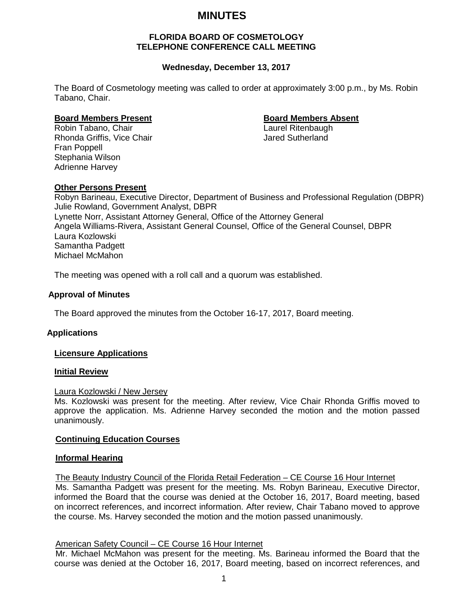# **MINUTES**

### **FLORIDA BOARD OF COSMETOLOGY TELEPHONE CONFERENCE CALL MEETING**

# **Wednesday, December 13, 2017**

The Board of Cosmetology meeting was called to order at approximately 3:00 p.m., by Ms. Robin Tabano, Chair.

**Board Members Present**<br> **Robin Tabano, Chair**<br> **Board Members Absent**<br>
Laurel Ritenbaugh Robin Tabano, Chair Rhonda Griffis, Vice Chair **Jared Sutherland** Fran Poppell Stephania Wilson Adrienne Harvey

# **Other Persons Present**

Robyn Barineau, Executive Director, Department of Business and Professional Regulation (DBPR) Julie Rowland, Government Analyst, DBPR Lynette Norr, Assistant Attorney General, Office of the Attorney General Angela Williams-Rivera, Assistant General Counsel, Office of the General Counsel, DBPR Laura Kozlowski Samantha Padgett Michael McMahon

The meeting was opened with a roll call and a quorum was established.

# **Approval of Minutes**

The Board approved the minutes from the October 16-17, 2017, Board meeting.

### **Applications**

### **Licensure Applications**

### **Initial Review**

### Laura Kozlowski / New Jersey

Ms. Kozlowski was present for the meeting. After review, Vice Chair Rhonda Griffis moved to approve the application. Ms. Adrienne Harvey seconded the motion and the motion passed unanimously.

### **Continuing Education Courses**

### **Informal Hearing**

The Beauty Industry Council of the Florida Retail Federation – CE Course 16 Hour Internet

Ms. Samantha Padgett was present for the meeting. Ms. Robyn Barineau, Executive Director, informed the Board that the course was denied at the October 16, 2017, Board meeting, based on incorrect references, and incorrect information. After review, Chair Tabano moved to approve the course. Ms. Harvey seconded the motion and the motion passed unanimously.

### American Safety Council – CE Course 16 Hour Internet

Mr. Michael McMahon was present for the meeting. Ms. Barineau informed the Board that the course was denied at the October 16, 2017, Board meeting, based on incorrect references, and